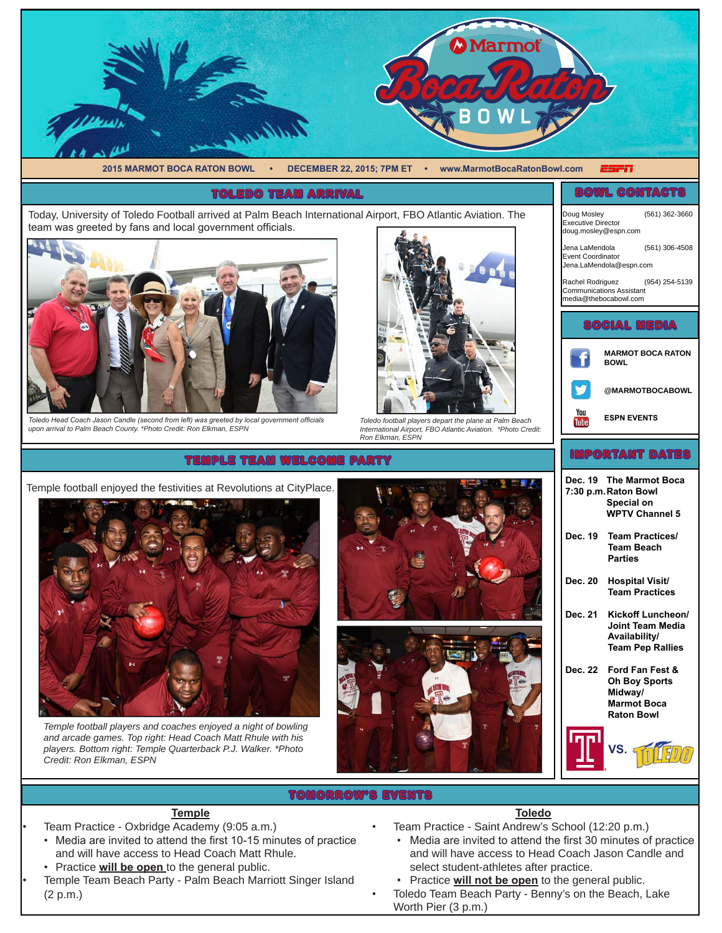

# **TOMORROW'S EVENTS**

## **Temple**

- Team Practice Oxbridge Academy (9:05 a.m.)
- Media are invited to attend the first 10-15 minutes of practice and will have access to Head Coach Matt Rhule.
- Practice **will be open** to the general public.
- Temple Team Beach Party Palm Beach Marriott Singer Island (2 p.m.)

## **Toledo**

- Team Practice Saint Andrew's School (12:20 p.m.)
	- Media are invited to attend the first 30 minutes of practice and will have access to Head Coach Jason Candle and select student-athletes after practice.
	- Practice **will not be open** to the general public.
- Toledo Team Beach Party Benny's on the Beach, Lake Worth Pier (3 p.m.)